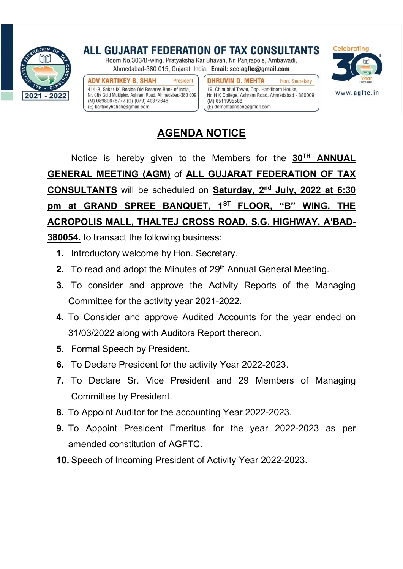

ALL GUJARAT FEDERATION OF TAX CONSULTANTS Room No.303/B-wing, Pratyaksha Kar Bhavan, Nr. Panjrapole, Ambawadi,

Ahmedabad-380 015, Gujarat, India. Email: sec.agftc@gmail.com

**ADV KARTIKEY B. SHAH** President 414-B, Sakar-IX, Beside Old Reserve Bank of India, Nr. City Gold Multiplex, Ashram Road, Ahmedabad-380 009 (M) 08980678777 (0) (079) 40372648  $(E)$  kartikeybshah@gmail.com

**DHRUVIN D. MEHTA** Hon, Secretary 19, Chinubhai Tower, Opp. Handloom House, Nr. H K College, Ashram Road, Ahmedabad - 380009 (M) 8511995588 (E) ddmehtaandco@gmail.com



## AGENDA NOTICE

Notice is hereby given to the Members for the  $30<sup>TH</sup>$  ANNUAL GENERAL MEETING (AGM) of ALL GUJARAT FEDERATION OF TAX CONSULTANTS will be scheduled on Saturday, 2nd July, 2022 at 6:30 pm at GRAND SPREE BANQUET, 1<sup>ST</sup> FLOOR, "B" WING, THE ACROPOLIS MALL, THALTEJ CROSS ROAD, S.G. HIGHWAY, A'BAD-

380054. to transact the following business:

- 1. Introductory welcome by Hon. Secretary.
- 2. To read and adopt the Minutes of 29<sup>th</sup> Annual General Meeting.
- 3. To consider and approve the Activity Reports of the Managing Committee for the activity year 2021-2022.
- 4. To Consider and approve Audited Accounts for the year ended on 31/03/2022 along with Auditors Report thereon.
- 5. Formal Speech by President.
- 6. To Declare President for the activity Year 2022-2023.
- 7. To Declare Sr. Vice President and 29 Members of Managing Committee by President.
- 8. To Appoint Auditor for the accounting Year 2022-2023.
- 9. To Appoint President Emeritus for the year 2022-2023 as per amended constitution of AGFTC.
- 10. Speech of Incoming President of Activity Year 2022-2023.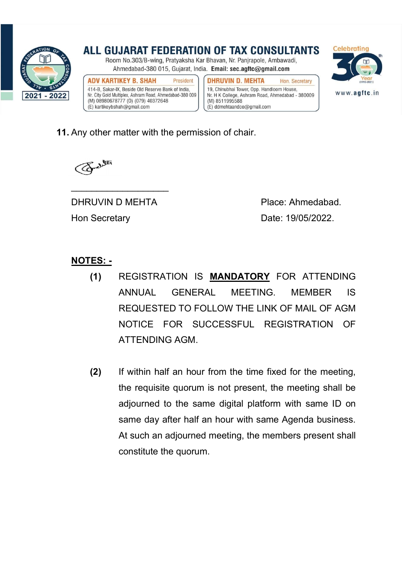

ALL GUJARAT FEDERATION OF TAX CONSULTANTS Room No.303/B-wing, Pratyaksha Kar Bhavan, Nr. Panjrapole, Ambawadi, Ahmedabad-380 015, Gujarat, India. Email: sec.agftc@gmail.com **ADV KARTIKEY B. SHAH DHRUVIN D. MEHTA** President Hon, Secretary 414-B, Sakar-IX, Beside Old Reserve Bank of India, 19, Chinubhai Tower, Opp. Handloom House,



Nr. H K College, Ashram Road, Ahmedabad - 380009 (M) 8511995588 (E) ddmehtaandco@gmail.com



**11.** Any other matter with the permission of chair.



DHRUVIN D MEHTA Place: Ahmedabad. Hon Secretary **Date: 19/05/2022.** 

## NOTES: -

- (1) REGISTRATION IS MANDATORY FOR ATTENDING ANNUAL GENERAL MEETING. MEMBER IS REQUESTED TO FOLLOW THE LINK OF MAIL OF AGM NOTICE FOR SUCCESSFUL REGISTRATION OF ATTENDING AGM.
- (2) If within half an hour from the time fixed for the meeting, the requisite quorum is not present, the meeting shall be adjourned to the same digital platform with same ID on same day after half an hour with same Agenda business. At such an adjourned meeting, the members present shall constitute the quorum.